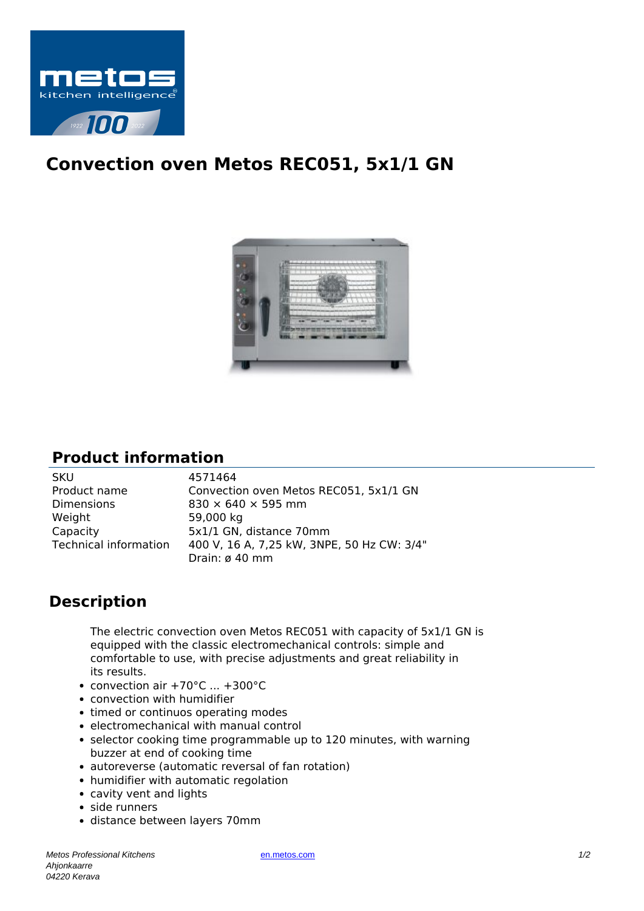

## **Convection oven Metos REC051, 5x1/1 GN**



## **Product information**

| <b>SKU</b>            | 4571464                                    |
|-----------------------|--------------------------------------------|
| Product name          | Convection oven Metos REC051, 5x1/1 GN     |
| <b>Dimensions</b>     | $830 \times 640 \times 595$ mm             |
| Weight                | 59,000 kg                                  |
| Capacity              | 5x1/1 GN, distance 70mm                    |
| Technical information | 400 V, 16 A, 7,25 kW, 3NPE, 50 Hz CW: 3/4" |
|                       | Drain: ø 40 mm                             |

## **Description**

The electric convection oven Metos REC051 with capacity of 5x1/1 GN is equipped with the classic electromechanical controls: simple and comfortable to use, with precise adjustments and great reliability in its results.

- convection air +70°C ... +300°C
- convection with humidifier
- timed or continuos operating modes
- electromechanical with manual control
- selector cooking time programmable up to 120 minutes, with warning buzzer at end of cooking time
- autoreverse (automatic reversal of fan rotation)
- humidifier with automatic regolation
- cavity vent and lights
- side runners
- distance between layers 70mm